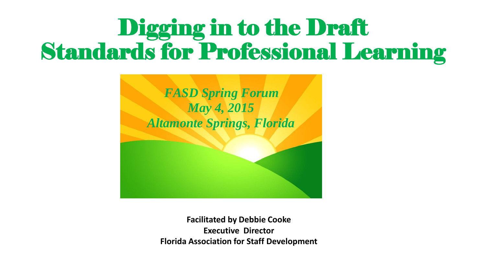#### Digging in to the Draft Standards for Professional Learning



**Facilitated by Debbie Cooke Executive Director Florida Association for Staff Development**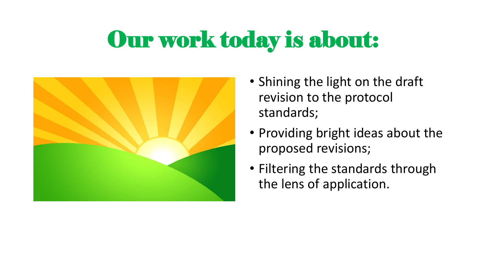#### Our work today is about:



- Shining the light on the draft revision to the protocol standards;
- Providing bright ideas about the proposed revisions;
- Filtering the standards through the lens of application.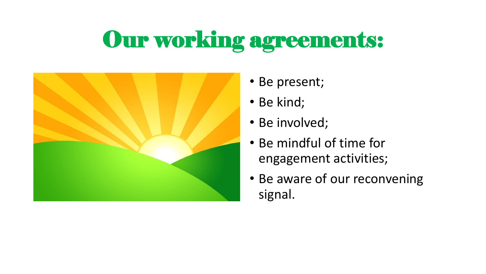### Our working agreements:



- Be present;
- Be kind;
- Be involved;
- Be mindful of time for engagement activities;
- Be aware of our reconvening signal.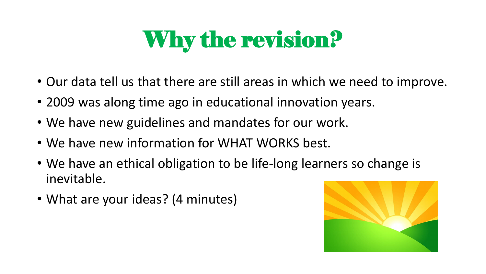### Why the revision?

- Our data tell us that there are still areas in which we need to improve.
- 2009 was along time ago in educational innovation years.
- We have new guidelines and mandates for our work.
- We have new information for WHAT WORKS best.
- We have an ethical obligation to be life-long learners so change is inevitable.
- What are your ideas? (4 minutes)

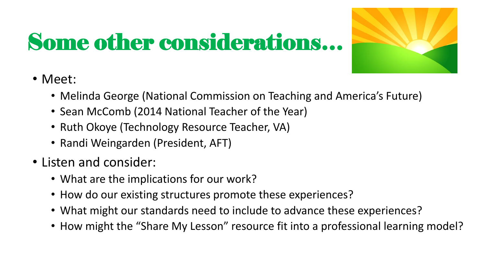#### Some other considerations…



- Meet:
	- Melinda George (National Commission on Teaching and America's Future)
	- Sean McComb (2014 National Teacher of the Year)
	- Ruth Okoye (Technology Resource Teacher, VA)
	- Randi Weingarden (President, AFT)
- Listen and consider:
	- What are the implications for our work?
	- How do our existing structures promote these experiences?
	- What might our standards need to include to advance these experiences?
	- How might the "Share My Lesson" resource fit into a professional learning model?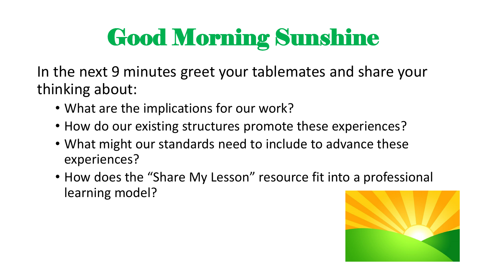# Good Morning Sunshine

In the next 9 minutes greet your tablemates and share your thinking about:

- What are the implications for our work?
- How do our existing structures promote these experiences?
- What might our standards need to include to advance these experiences?
- How does the "Share My Lesson" resource fit into a professional learning model?

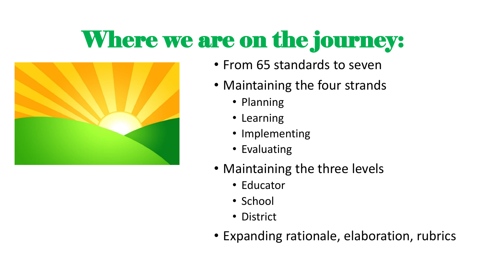### Where we are on the journey:



- From 65 standards to seven
- Maintaining the four strands
	- Planning
	- Learning
	- Implementing
	- Evaluating
- Maintaining the three levels
	- Educator
	- School
	- District
- Expanding rationale, elaboration, rubrics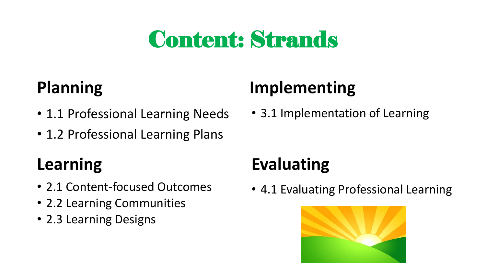#### Content: Strands

- 1.1 Professional Learning Needs 3.1 Implementation of Learning
- 1.2 Professional Learning Plans

#### **Learning**

- 2.1 Content-focused Outcomes
- 2.2 Learning Communities
- 2.3 Learning Designs

#### **Planning Implementing**

#### **Evaluating**

• 4.1 Evaluating Professional Learning

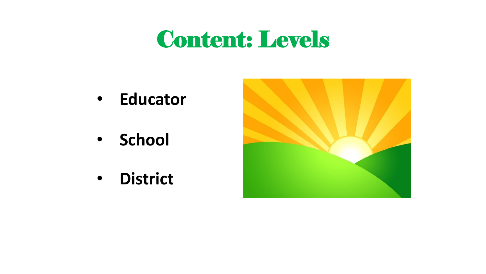#### Content: Levels

- **Educator**
- **School**
- **District**

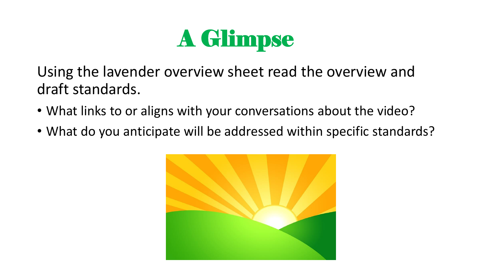

Using the lavender overview sheet read the overview and draft standards.

- What links to or aligns with your conversations about the video?
- What do you anticipate will be addressed within specific standards?

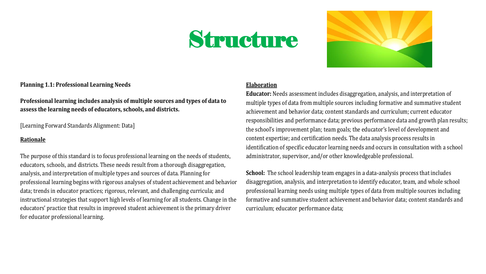#### Structure



**Planning 1.1: Professional Learning Needs** 

**Professional learning includes analysis of multiple sources and types of data to assess the learning needs of educators, schools, and districts.**

[Learning Forward Standards Alignment: Data]

#### **Rationale**

The purpose of this standard is to focus professional learning on the needs of students, educators, schools, and districts. These needs result from a thorough disaggregation, analysis, and interpretation of multiple types and sources of data. Planning for professional learning begins with rigorous analyses of student achievement and behavior data; trends in educator practices; rigorous, relevant, and challenging curricula; and instructional strategies that support high levels of learning for all students. Change in the educators' practice that results in improved student achievement is the primary driver for educator professional learning.

#### **Elaboration**

**Educator:** Needs assessment includes disaggregation, analysis, and interpretation of multiple types of data from multiple sources including formative and summative student achievement and behavior data; content standards and curriculum; current educator responsibilities and performance data; previous performance data and growth plan results; the school's improvement plan; team goals; the educator's level of development and content expertise; and certification needs. The data analysis process results in identification of specific educator learning needs and occurs in consultation with a school administrator, supervisor, and/or other knowledgeable professional.

**School:** The school leadership team engages in a data-analysis process that includes disaggregation, analysis, and interpretation to identify educator, team, and whole school professional learning needs using multiple types of data from multiple sources including formative and summative student achievement and behavior data; content standards and curriculum; educator performance data;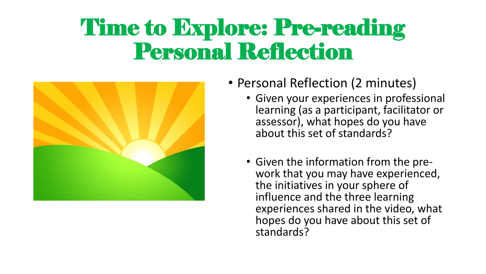#### Time to Explore: Pre-reading Personal Reflection



- Personal Reflection (2 minutes)
	- Given your experiences in professional learning (as a participant, facilitator or assessor), what hopes do you have about this set of standards?
	- Given the information from the prework that you may have experienced, the initiatives in your sphere of influence and the three learning experiences shared in the video, what hopes do you have about this set of standards?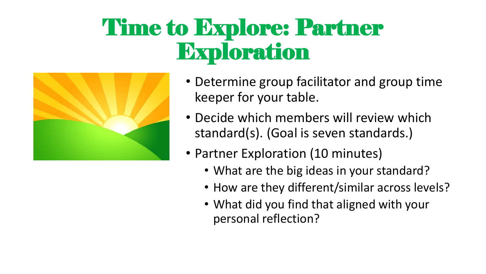#### Time to Explore: Partner Exploration



- Determine group facilitator and group time keeper for your table.
- Decide which members will review which standard(s). (Goal is seven standards.)
- Partner Exploration (10 minutes)
	- What are the big ideas in your standard?
	- How are they different/similar across levels?
	- What did you find that aligned with your personal reflection?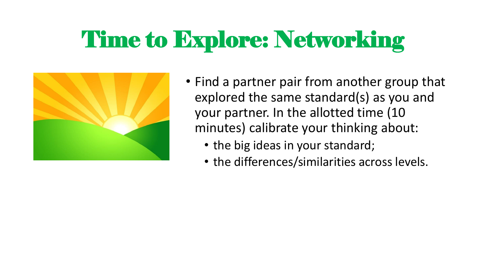#### Time to Explore: Networking



- Find a partner pair from another group that explored the same standard(s) as you and your partner. In the allotted time (10 minutes) calibrate your thinking about:
	- the big ideas in your standard;
	- the differences/similarities across levels.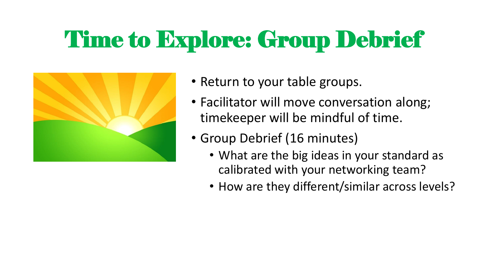## Time to Explore: Group Debrief



- Return to your table groups.
- Facilitator will move conversation along; timekeeper will be mindful of time.
- Group Debrief (16 minutes)
	- What are the big ideas in your standard as calibrated with your networking team?
	- How are they different/similar across levels?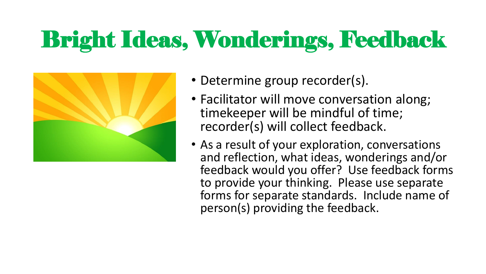## Bright Ideas, Wonderings, Feedback



- Determine group recorder(s).
- Facilitator will move conversation along; timekeeper will be mindful of time; recorder(s) will collect feedback.
- As a result of your exploration, conversations and reflection, what ideas, wonderings and/or feedback would you offer? Use feedback forms to provide your thinking. Please use separate forms for separate standards. Include name of person(s) providing the feedback.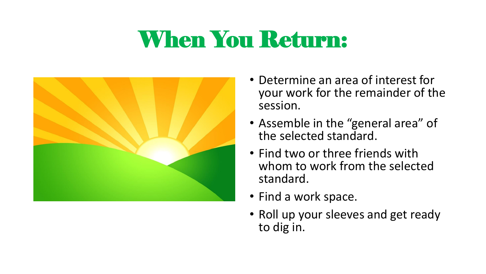#### When You Return:



- Determine an area of interest for your work for the remainder of the session.
- Assemble in the "general area" of the selected standard.
- Find two or three friends with whom to work from the selected standard.
- Find a work space.
- Roll up your sleeves and get ready to dig in.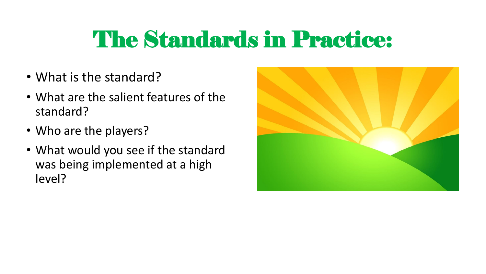#### The Standards in Practice:

- What is the standard?
- What are the salient features of the standard?
- Who are the players?
- What would you see if the standard was being implemented at a high level?

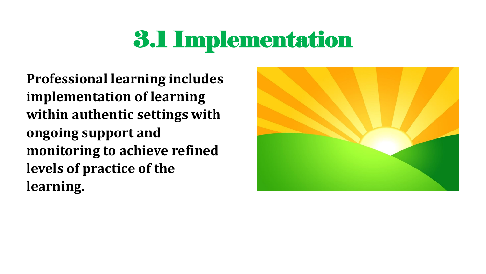#### 3.1 Implementation

**Professional learning includes implementation of learning within authentic settings with ongoing support and monitoring to achieve refined levels of practice of the learning.**

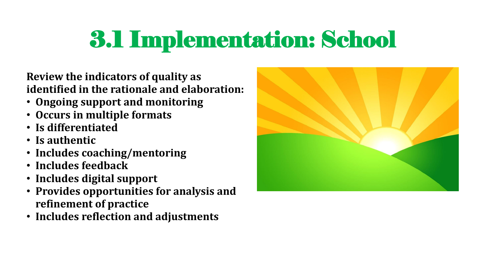**Review the indicators of quality as identified in the rationale and elaboration:**

- **Ongoing support and monitoring**
- **Occurs in multiple formats**
- **Is differentiated**
- **Is authentic**
- **Includes coaching/mentoring**
- **Includes feedback**
- **Includes digital support**
- **Provides opportunities for analysis and refinement of practice**
- **Includes reflection and adjustments**

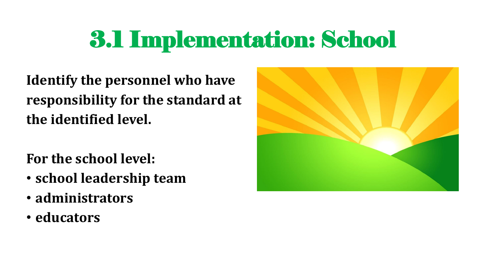**Identify the personnel who have responsibility for the standard at the identified level.**

**For the school level:**

- **school leadership team**
- **administrators**
- **educators**

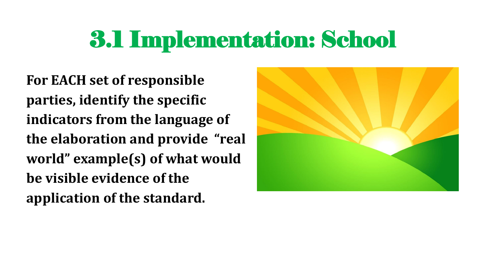**For EACH set of responsible parties, identify the specific indicators from the language of the elaboration and provide "real world" example(s) of what would be visible evidence of the application of the standard.**

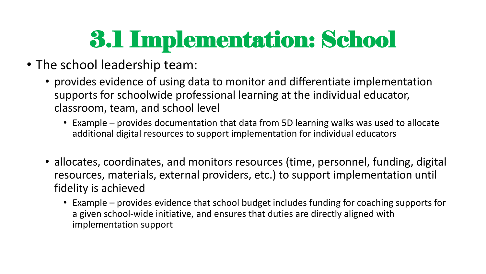- The school leadership team:
	- provides evidence of using data to monitor and differentiate implementation supports for schoolwide professional learning at the individual educator, classroom, team, and school level
		- Example provides documentation that data from 5D learning walks was used to allocate additional digital resources to support implementation for individual educators
	- allocates, coordinates, and monitors resources (time, personnel, funding, digital resources, materials, external providers, etc.) to support implementation until fidelity is achieved
		- Example provides evidence that school budget includes funding for coaching supports for a given school-wide initiative, and ensures that duties are directly aligned with implementation support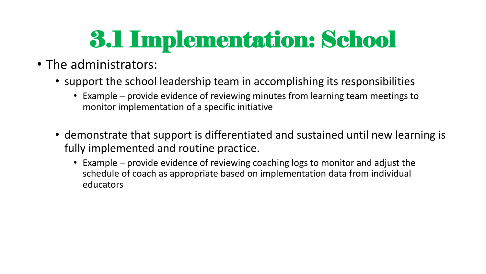- The administrators:
	- support the school leadership team in accomplishing its responsibilities
		- Example provide evidence of reviewing minutes from learning team meetings to monitor implementation of a specific initiative
	- demonstrate that support is differentiated and sustained until new learning is fully implemented and routine practice.
		- Example provide evidence of reviewing coaching logs to monitor and adjust the schedule of coach as appropriate based on implementation data from individual educators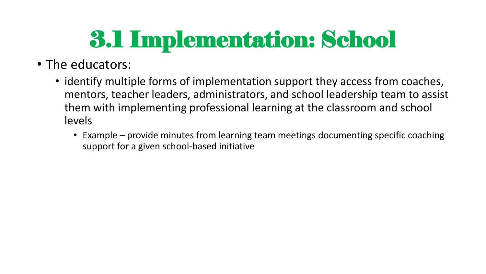#### • The educators:

- identify multiple forms of implementation support they access from coaches, mentors, teacher leaders, administrators, and school leadership team to assist them with implementing professional learning at the classroom and school levels
	- Example provide minutes from learning team meetings documenting specific coaching support for a given school-based initiative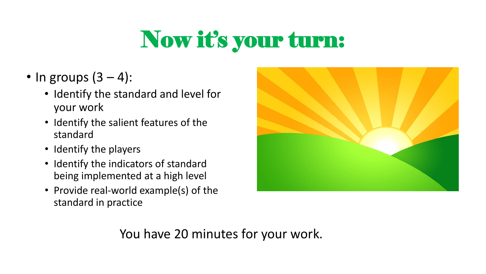## Now it's your turn:

- In groups  $(3-4)$ :
	- Identify the standard and level for your work
	- Identify the salient features of the standard
	- Identify the players
	- Identify the indicators of standard being implemented at a high level
	- Provide real-world example(s) of the standard in practice



You have 20 minutes for your work.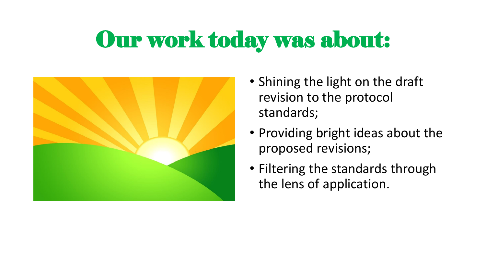#### Our work today was about:



- Shining the light on the draft revision to the protocol standards;
- Providing bright ideas about the proposed revisions;
- Filtering the standards through the lens of application.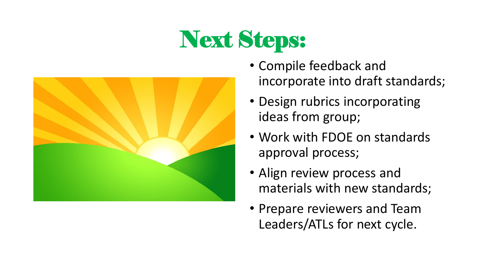## Next Steps:



- Compile feedback and incorporate into draft standards;
- Design rubrics incorporating ideas from group;
- Work with FDOE on standards approval process;
- Align review process and materials with new standards;
- Prepare reviewers and Team Leaders/ATLs for next cycle.